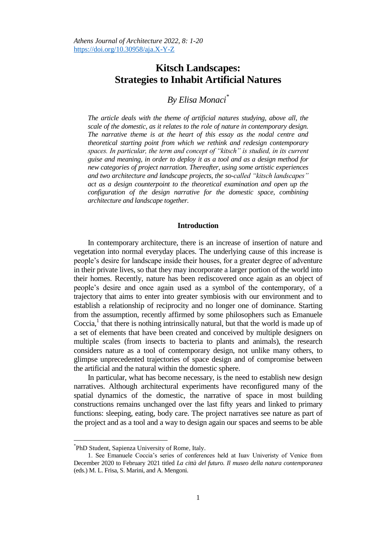# **Kitsch Landscapes: Strategies to Inhabit Artificial Natures**

# *By Elisa Monaci\**

*The article deals with the theme of artificial natures studying, above all, the scale of the domestic, as it relates to the role of nature in contemporary design. The narrative theme is at the heart of this essay as the nodal centre and theoretical starting point from which we rethink and redesign contemporary spaces. In particular, the term and concept of "kitsch" is studied, in its current guise and meaning, in order to deploy it as a tool and as a design method for new categories of project narration. Thereafter, using some artistic experiences and two architecture and landscape projects, the so-called "kitsch landscapes" act as a design counterpoint to the theoretical examination and open up the configuration of the design narrative for the domestic space, combining architecture and landscape together.*

#### **Introduction**

In contemporary architecture, there is an increase of insertion of nature and vegetation into normal everyday places. The underlying cause of this increase is people"s desire for landscape inside their houses, for a greater degree of adventure in their private lives, so that they may incorporate a larger portion of the world into their homes. Recently, nature has been rediscovered once again as an object of people"s desire and once again used as a symbol of the contemporary, of a trajectory that aims to enter into greater symbiosis with our environment and to establish a relationship of reciprocity and no longer one of dominance. Starting from the assumption, recently affirmed by some philosophers such as Emanuele Coccia,<sup>1</sup> that there is nothing intrinsically natural, but that the world is made up of a set of elements that have been created and conceived by multiple designers on multiple scales (from insects to bacteria to plants and animals), the research considers nature as a tool of contemporary design, not unlike many others, to glimpse unprecedented trajectories of space design and of compromise between the artificial and the natural within the domestic sphere.

In particular, what has become necessary, is the need to establish new design narratives. Although architectural experiments have reconfigured many of the spatial dynamics of the domestic, the narrative of space in most building constructions remains unchanged over the last fifty years and linked to primary functions: sleeping, eating, body care. The project narratives see nature as part of the project and as a tool and a way to design again our spaces and seems to be able

<sup>\*</sup> PhD Student, Sapienza University of Rome, Italy.

<sup>1.</sup> See Emanuele Coccia"s series of conferences held at Iuav Univeristy of Venice from December 2020 to February 2021 titled *La città del futuro. Il museo della natura contemporanea* (eds.) M. L. Frisa, S. Marini, and A. Mengoni.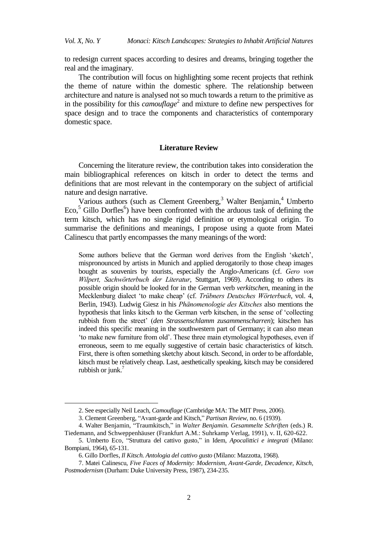to redesign current spaces according to desires and dreams, bringing together the real and the imaginary.

The contribution will focus on highlighting some recent projects that rethink the theme of nature within the domestic sphere. The relationship between architecture and nature is analysed not so much towards a return to the primitive as in the possibility for this *camouflage*<sup>2</sup> and mixture to define new perspectives for space design and to trace the components and characteristics of contemporary domestic space.

#### **Literature Review**

Concerning the literature review, the contribution takes into consideration the main bibliographical references on kitsch in order to detect the terms and definitions that are most relevant in the contemporary on the subject of artificial nature and design narrative.

Various authors (such as Clement Greenberg,<sup>3</sup> Walter Benjamin,<sup>4</sup> Umberto Eco, $5$  Gillo Dorfles<sup>6</sup>) have been confronted with the arduous task of defining the term kitsch, which has no single rigid definition or etymological origin. To summarise the definitions and meanings, I propose using a quote from Matei Calinescu that partly encompasses the many meanings of the word:

Some authors believe that the German word derives from the English 'sketch', mispronounced by artists in Munich and applied derogatorily to those cheap images bought as souvenirs by tourists, especially the Anglo-Americans (cf. *Gero von Wilpert, Sachwörterbuch der Literatur*, Stuttgart, 1969). According to others its possible origin should be looked for in the German verb *verkitschen*, meaning in the Mecklenburg dialect 'to make cheap' (cf. *Trübners Deutsches Wörterbuch*, vol. 4, Berlin, 1943). Ludwig Giesz in his *Phänomenologie des Kitsches* also mentions the hypothesis that links kitsch to the German verb kitschen, in the sense of "collecting rubbish from the street" (*den Strassenschlamm zusammenscharren*); kitschen has indeed this specific meaning in the southwestern part of Germany; it can also mean "to make new furniture from old". These three main etymological hypotheses, even if erroneous, seem to me equally suggestive of certain basic characteristics of kitsch. First, there is often something sketchy about kitsch. Second, in order to be affordable, kitsch must be relatively cheap. Last, aesthetically speaking, kitsch may be considered rubbish or junk. 7

<sup>2.</sup> See especially Neil Leach, *Camouflage* (Cambridge MA: The MIT Press, 2006).

<sup>3.</sup> Clement Greenberg, "Avant-garde and Kitsch," *Partisan Review*, no. 6 (1939).

<sup>4.</sup> Walter Benjamin, "Traumkitsch," in *Walter Benjamin. Gesammelte Schriften* (eds.) R. Tiedemann, and Schweppenhäuser (Frankfurt A.M.: Suhrkamp Verlag, 1991), v. II, 620-622.

<sup>5.</sup> Umberto Eco, "Struttura del cattivo gusto," in Idem, *Apocalittici e integrati* (Milano: Bompiani, 1964), 65-131.

<sup>6.</sup> Gillo Dorfles, *Il Kitsch. Antologia del cattivo gusto* (Milano: Mazzotta, 1968).

<sup>7.</sup> Matei Calinescu, *Five Faces of Modernity: Modernism, Avant-Garde, Decadence, Kitsch, Postmodernism* (Durham: Duke University Press, 1987), 234-235.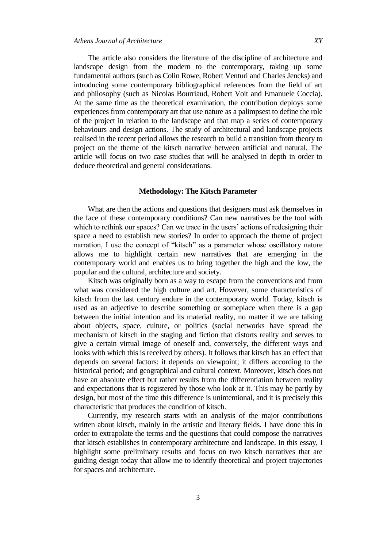The article also considers the literature of the discipline of architecture and landscape design from the modern to the contemporary, taking up some fundamental authors (such as Colin Rowe, Robert Venturi and Charles Jencks) and introducing some contemporary bibliographical references from the field of art and philosophy (such as Nicolas Bourriaud, Robert Voit and Emanuele Coccia). At the same time as the theoretical examination, the contribution deploys some experiences from contemporary art that use nature as a palimpsest to define the role of the project in relation to the landscape and that map a series of contemporary behaviours and design actions. The study of architectural and landscape projects realised in the recent period allows the research to build a transition from theory to project on the theme of the kitsch narrative between artificial and natural. The article will focus on two case studies that will be analysed in depth in order to deduce theoretical and general considerations.

# **Methodology: The Kitsch Parameter**

What are then the actions and questions that designers must ask themselves in the face of these contemporary conditions? Can new narratives be the tool with which to rethink our spaces? Can we trace in the users' actions of redesigning their space a need to establish new stories? In order to approach the theme of project narration, I use the concept of "kitsch" as a parameter whose oscillatory nature allows me to highlight certain new narratives that are emerging in the contemporary world and enables us to bring together the high and the low, the popular and the cultural, architecture and society.

Kitsch was originally born as a way to escape from the conventions and from what was considered the high culture and art. However, some characteristics of kitsch from the last century endure in the contemporary world. Today, kitsch is used as an adjective to describe something or someplace when there is a gap between the initial intention and its material reality, no matter if we are talking about objects, space, culture, or politics (social networks have spread the mechanism of kitsch in the staging and fiction that distorts reality and serves to give a certain virtual image of oneself and, conversely, the different ways and looks with which this is received by others). It follows that kitsch has an effect that depends on several factors: it depends on viewpoint; it differs according to the historical period; and geographical and cultural context. Moreover, kitsch does not have an absolute effect but rather results from the differentiation between reality and expectations that is registered by those who look at it. This may be partly by design, but most of the time this difference is unintentional, and it is precisely this characteristic that produces the condition of kitsch.

Currently, my research starts with an analysis of the major contributions written about kitsch, mainly in the artistic and literary fields. I have done this in order to extrapolate the terms and the questions that could compose the narratives that kitsch establishes in contemporary architecture and landscape. In this essay, I highlight some preliminary results and focus on two kitsch narratives that are guiding design today that allow me to identify theoretical and project trajectories for spaces and architecture.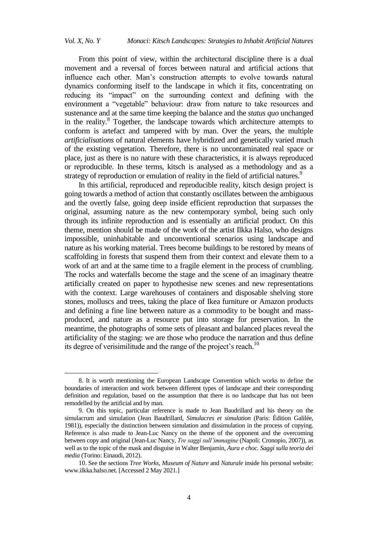From this point of view, within the architectural discipline there is a dual movement and a reversal of forces between natural and artificial actions that influence each other. Man"s construction attempts to evolve towards natural dynamics conforming itself to the landscape in which it fits, concentrating on reducing its "impact" on the surrounding context and defining with the environment a "vegetable" behaviour: draw from nature to take resources and sustenance and at the same time keeping the balance and the *status quo* unchanged in the reality.<sup>8</sup> Together, the landscape towards which architecture attempts to conform is artefact and tampered with by man. Over the years, the multiple *artificialisations* of natural elements have hybridized and genetically varied much of the existing vegetation. Therefore, there is no uncontaminated real space or place, just as there is no nature with these characteristics, it is always reproduced or reproducible. In these terms, kitsch is analysed as a methodology and as a strategy of reproduction or emulation of reality in the field of artificial natures.<sup>9</sup>

In this artificial, reproduced and reproducible reality, kitsch design project is going towards a method of action that constantly oscillates between the ambiguous and the overtly false, going deep inside efficient reproduction that surpasses the original, assuming nature as the new contemporary symbol, being such only through its infinite reproduction and is essentially an artificial product. On this theme, mention should be made of the work of the artist Ilkka Halso, who designs impossible, uninhabitable and unconventional scenarios using landscape and nature as his working material. Trees become buildings to be restored by means of scaffolding in forests that suspend them from their context and elevate them to a work of art and at the same time to a fragile element in the process of crumbling. The rocks and waterfalls become the stage and the scene of an imaginary theatre artificially created on paper to hypothesise new scenes and new representations with the context. Large warehouses of containers and disposable shelving store stones, molluscs and trees, taking the place of Ikea furniture or Amazon products and defining a fine line between nature as a commodity to be bought and massproduced, and nature as a resource put into storage for preservation. In the meantime, the photographs of some sets of pleasant and balanced places reveal the artificiality of the staging: we are those who produce the narration and thus define its degree of verisimilitude and the range of the project's reach.<sup>10</sup>

<sup>8.</sup> It is worth mentioning the European Landscape Convention which works to define the boundaries of interaction and work between different types of landscape and their corresponding definition and regulation, based on the assumption that there is no landscape that has not been remodelled by the artificial and by man.

<sup>9.</sup> On this topic, particular reference is made to Jean Baudrillard and his theory on the simulacrum and simulation (Jean Baudrillard, *Simulacres et simulation* (Paris: Édition Galilée, 1981)), especially the distinction between simulation and dissimulation in the process of copying. Reference is also made to Jean-Luc Nancy on the theme of the opponent and the overcoming between copy and original (Jean-Luc Nancy, *re saggi sull'immagine* (Napoli: Cronopio, 2007)), as well as to the topic of the mask and disguise in Walter Benjamin, *Aura e choc. Saggi sulla teoria dei media* (Torino: Einaudi, 2012).

<sup>10.</sup> See the sections *Tree Works*, *Museum of Nature* and *Naturale* inside his personal website: [www.ilkka.halso.net.](http://www.ilkka.halso.net/) [Accessed 2 May 2021.]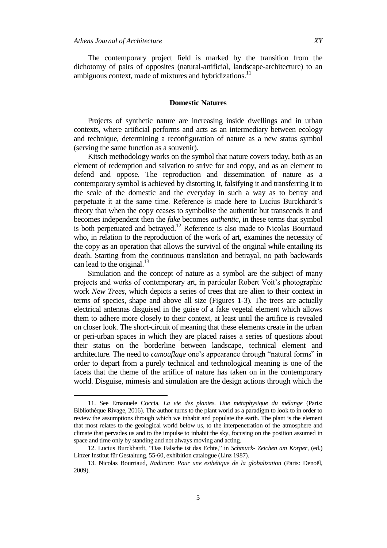$\overline{a}$ 

The contemporary project field is marked by the transition from the dichotomy of pairs of opposites (natural-artificial, landscape-architecture) to an ambiguous context, made of mixtures and hybridizations.<sup>11</sup>

#### **Domestic Natures**

Projects of synthetic nature are increasing inside dwellings and in urban contexts, where artificial performs and acts as an intermediary between ecology and technique, determining a reconfiguration of nature as a new status symbol (serving the same function as a souvenir).

Kitsch methodology works on the symbol that nature covers today, both as an element of redemption and salvation to strive for and copy, and as an element to defend and oppose. The reproduction and dissemination of nature as a contemporary symbol is achieved by distorting it, falsifying it and transferring it to the scale of the domestic and the everyday in such a way as to betray and perpetuate it at the same time. Reference is made here to Lucius Burckhardt"s theory that when the copy ceases to symbolise the authentic but transcends it and becomes independent then the *fake* becomes *authentic*, in these terms that symbol is both perpetuated and betrayed.<sup>12</sup> Reference is also made to Nicolas Bourriaud who, in relation to the reproduction of the work of art, examines the necessity of the copy as an operation that allows the survival of the original while entailing its death. Starting from the continuous translation and betrayal, no path backwards can lead to the original.<sup>13</sup>

Simulation and the concept of nature as a symbol are the subject of many projects and works of contemporary art, in particular Robert Voit"s photographic work *New Trees*, which depicts a series of trees that are alien to their context in terms of species, shape and above all size (Figures 1-3). The trees are actually electrical antennas disguised in the guise of a fake vegetal element which allows them to adhere more closely to their context, at least until the artifice is revealed on closer look. The short-circuit of meaning that these elements create in the urban or peri-urban spaces in which they are placed raises a series of questions about their status on the borderline between landscape, technical element and architecture. The need to *camouflage* one"s appearance through "natural forms" in order to depart from a purely technical and technological meaning is one of the facets that the theme of the artifice of nature has taken on in the contemporary world. Disguise, mimesis and simulation are the design actions through which the

<sup>11.</sup> See Emanuele Coccia, *La vie des plantes. Une métaphysique du mélange* (Paris: Bibliothèque Rivage, 2016). The author turns to the plant world as a paradigm to look to in order to review the assumptions through which we inhabit and populate the earth. The plant is the element that most relates to the geological world below us, to the interpenetration of the atmosphere and climate that pervades us and to the impulse to inhabit the sky, focusing on the position assumed in space and time only by standing and not always moving and acting.

<sup>12.</sup> Lucius Burckhardt, "Das Falsche ist das Echte," in *Schmuck- Zeichen am Körper*, (ed.) Linzer Institut für Gestaltung, 55-60, exhibition catalogue (Linz 1987).

<sup>13.</sup> Nicolas Bourriaud, *Radicant: Pour une esthétique de la globalization* (Paris: Denoël, 2009).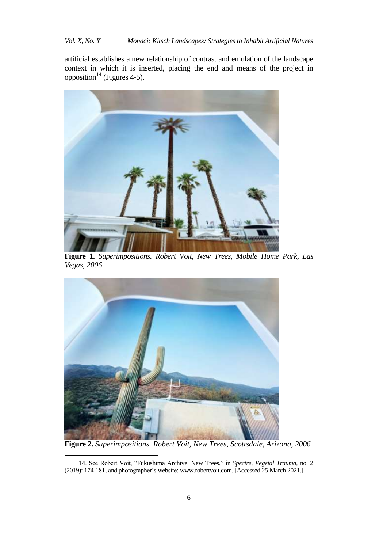*Vol. X, No. Y Monaci: Kitsch Landscapes: Strategies to Inhabit Artificial Natures*

artificial establishes a new relationship of contrast and emulation of the landscape context in which it is inserted, placing the end and means of the project in opposition<sup>14</sup> (Figures 4-5).



**Figure 1.** *Superimpositions. Robert Voit, New Trees, Mobile Home Park, Las Vegas, 2006* 



**Figure 2.** *Superimpositions. Robert Voit, New Trees, Scottsdale, Arizona, 2006*

<sup>14.</sup> See Robert Voit, "Fukushima Archive. New Trees," in *Spectre*, *Vegetal Trauma*, no. 2 (2019): 174-181; and photographer"s website[: www.robertvoit.com.](http://www.robertvoit.com/) [Accessed 25 March 2021.]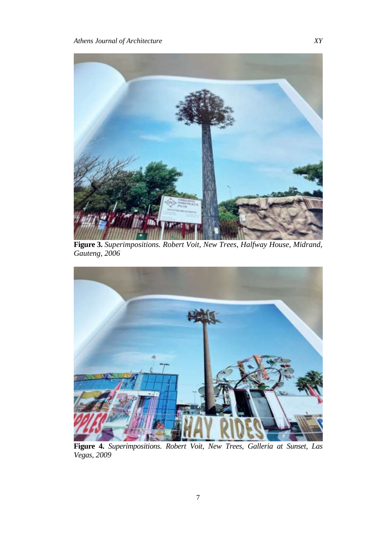

**Figure 3.** *Superimpositions. Robert Voit, New Trees, Halfway House, Midrand, Gauteng, 2006*



**Figure 4.** *Superimpositions. Robert Voit, New Trees, Galleria at Sunset, Las Vegas, 2009*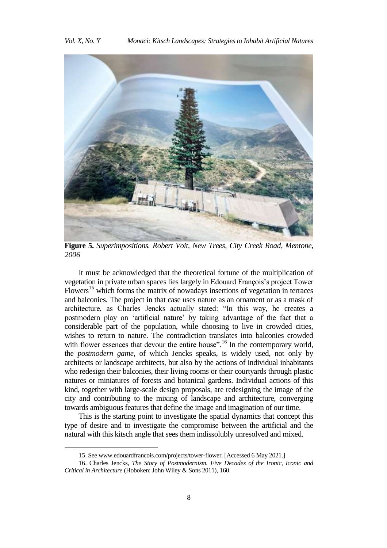

**Figure 5.** *Superimpositions. Robert Voit, New Trees, City Creek Road, Mentone, 2006*

It must be acknowledged that the theoretical fortune of the multiplication of vegetation in private urban spaces lies largely in Edouard François"s project Tower Flowers<sup>15</sup> which forms the matrix of nowadays insertions of vegetation in terraces and balconies. The project in that case uses nature as an ornament or as a mask of architecture, as Charles Jencks actually stated: "In this way, he creates a postmodern play on "artificial nature" by taking advantage of the fact that a considerable part of the population, while choosing to live in crowded cities, wishes to return to nature. The contradiction translates into balconies crowded with flower essences that devour the entire house".<sup>16</sup> In the contemporary world, the *postmodern game*, of which Jencks speaks, is widely used, not only by architects or landscape architects, but also by the actions of individual inhabitants who redesign their balconies, their living rooms or their courtyards through plastic natures or miniatures of forests and botanical gardens. Individual actions of this kind, together with large-scale design proposals, are redesigning the image of the city and contributing to the mixing of landscape and architecture, converging towards ambiguous features that define the image and imagination of our time.

This is the starting point to investigate the spatial dynamics that concept this type of desire and to investigate the compromise between the artificial and the natural with this kitsch angle that sees them indissolubly unresolved and mixed.

<sup>15.</sup> See www.edouardfrancois.com/projects/tower-flower. [Accessed 6 May 2021.]

<sup>16.</sup> Charles Jencks, *The Story of Postmodernism. Five Decades of the Ironic, Iconic and Critical in Architecture* (Hoboken: John Wiley & Sons 2011), 160.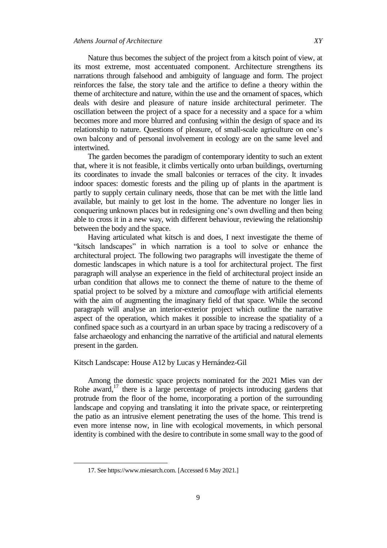Nature thus becomes the subject of the project from a kitsch point of view, at its most extreme, most accentuated component. Architecture strengthens its narrations through falsehood and ambiguity of language and form. The project reinforces the false, the story tale and the artifice to define a theory within the theme of architecture and nature, within the use and the ornament of spaces, which deals with desire and pleasure of nature inside architectural perimeter. The oscillation between the project of a space for a necessity and a space for a whim becomes more and more blurred and confusing within the design of space and its relationship to nature. Questions of pleasure, of small-scale agriculture on one"s own balcony and of personal involvement in ecology are on the same level and intertwined.

The garden becomes the paradigm of contemporary identity to such an extent that, where it is not feasible, it climbs vertically onto urban buildings, overturning its coordinates to invade the small balconies or terraces of the city. It invades indoor spaces: domestic forests and the piling up of plants in the apartment is partly to supply certain culinary needs, those that can be met with the little land available, but mainly to get lost in the home. The adventure no longer lies in conquering unknown places but in redesigning one's own dwelling and then being able to cross it in a new way, with different behaviour, reviewing the relationship between the body and the space.

Having articulated what kitsch is and does, I next investigate the theme of "kitsch landscapes" in which narration is a tool to solve or enhance the architectural project. The following two paragraphs will investigate the theme of domestic landscapes in which nature is a tool for architectural project. The first paragraph will analyse an experience in the field of architectural project inside an urban condition that allows me to connect the theme of nature to the theme of spatial project to be solved by a mixture and *camouflage* with artificial elements with the aim of augmenting the imaginary field of that space. While the second paragraph will analyse an interior-exterior project which outline the narrative aspect of the operation, which makes it possible to increase the spatiality of a confined space such as a courtyard in an urban space by tracing a rediscovery of a false archaeology and enhancing the narrative of the artificial and natural elements present in the garden.

## Kitsch Landscape: House A12 by Lucas y Hernández-Gil

Among the domestic space projects nominated for the 2021 Mies van der Rohe award,<sup>17</sup> there is a large percentage of projects introducing gardens that protrude from the floor of the home, incorporating a portion of the surrounding landscape and copying and translating it into the private space, or reinterpreting the patio as an intrusive element penetrating the uses of the home. This trend is even more intense now, in line with ecological movements, in which personal identity is combined with the desire to contribute in some small way to the good of

<sup>17.</sup> Se[e https://www.miesarch.com.](https://www.miesarch.com/) [Accessed 6 May 2021.]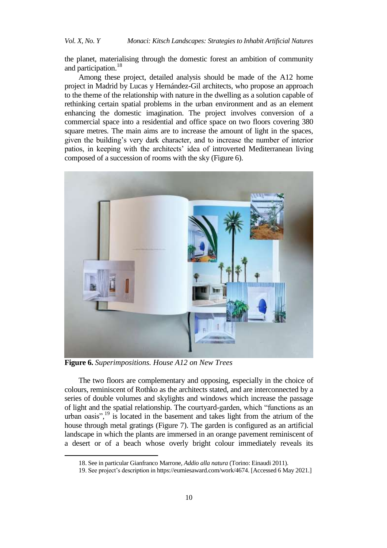the planet, materialising through the domestic forest an ambition of community and participation. 18

Among these project, detailed analysis should be made of the A12 home project in Madrid by Lucas y Hernández-Gil architects, who propose an approach to the theme of the relationship with nature in the dwelling as a solution capable of rethinking certain spatial problems in the urban environment and as an element enhancing the domestic imagination. The project involves conversion of a commercial space into a residential and office space on two floors covering 380 square metres. The main aims are to increase the amount of light in the spaces, given the building"s very dark character, and to increase the number of interior patios, in keeping with the architects' idea of introverted Mediterranean living composed of a succession of rooms with the sky (Figure 6).



**Figure 6.** *Superimpositions. House A12 on New Trees*

l

The two floors are complementary and opposing, especially in the choice of colours, reminiscent of Rothko as the architects stated, and are interconnected by a series of double volumes and skylights and windows which increase the passage of light and the spatial relationship. The courtyard-garden, which "functions as an urban oasis", <sup>19</sup> is located in the basement and takes light from the atrium of the house through metal gratings (Figure 7). The garden is configured as an artificial landscape in which the plants are immersed in an orange pavement reminiscent of a desert or of a beach whose overly bright colour immediately reveals its

<sup>18.</sup> See in particular Gianfranco Marrone, *Addio alla natura* (Torino: Einaudi 2011).

<sup>19.</sup> See project's description i[n https://eumiesaward.com/work/4674.](https://eumiesaward.com/work/4674) [Accessed 6 May 2021.]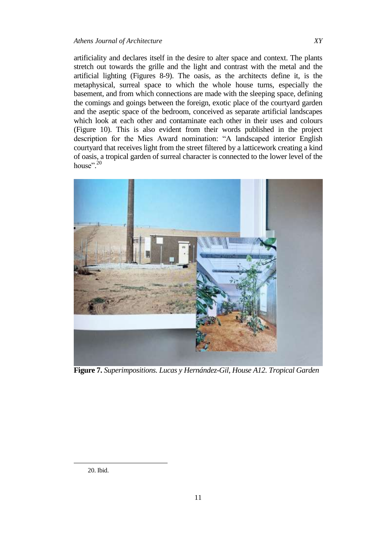# *Athens Journal of Architecture XY*

artificiality and declares itself in the desire to alter space and context. The plants stretch out towards the grille and the light and contrast with the metal and the artificial lighting (Figures 8-9). The oasis, as the architects define it, is the metaphysical, surreal space to which the whole house turns, especially the basement, and from which connections are made with the sleeping space, defining the comings and goings between the foreign, exotic place of the courtyard garden and the aseptic space of the bedroom, conceived as separate artificial landscapes which look at each other and contaminate each other in their uses and colours (Figure 10). This is also evident from their words published in the project description for the Mies Award nomination: "A landscaped interior English courtyard that receives light from the street filtered by a latticework creating a kind of oasis, a tropical garden of surreal character is connected to the lower level of the house".<sup>20</sup>



**Figure 7.** *Superimpositions. Lucas y Hernández-Gil, House A12. Tropical Garden*

<sup>20.</sup> Ibid.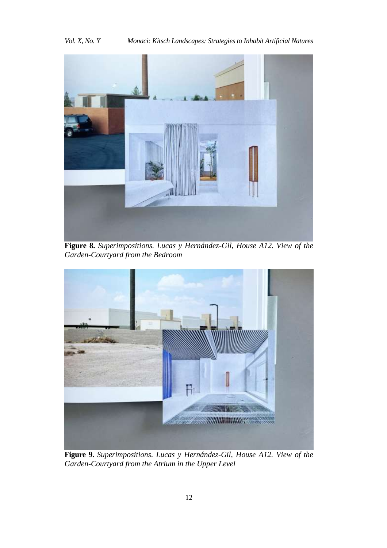

**Figure 8.** *Superimpositions. Lucas y Hernández-Gil, House A12. View of the Garden-Courtyard from the Bedroom*



**Figure 9.** *Superimpositions. Lucas y Hernández-Gil, House A12. View of the Garden-Courtyard from the Atrium in the Upper Level*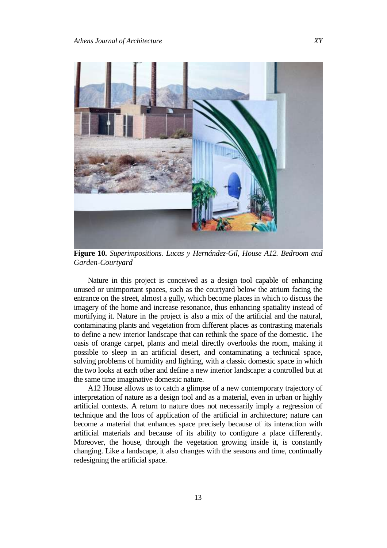

**Figure 10.** *Superimpositions. Lucas y Hernández-Gil, House A12. Bedroom and Garden-Courtyard*

Nature in this project is conceived as a design tool capable of enhancing unused or unimportant spaces, such as the courtyard below the atrium facing the entrance on the street, almost a gully, which become places in which to discuss the imagery of the home and increase resonance, thus enhancing spatiality instead of mortifying it. Nature in the project is also a mix of the artificial and the natural, contaminating plants and vegetation from different places as contrasting materials to define a new interior landscape that can rethink the space of the domestic. The oasis of orange carpet, plants and metal directly overlooks the room, making it possible to sleep in an artificial desert, and contaminating a technical space, solving problems of humidity and lighting, with a classic domestic space in which the two looks at each other and define a new interior landscape: a controlled but at the same time imaginative domestic nature.

A12 House allows us to catch a glimpse of a new contemporary trajectory of interpretation of nature as a design tool and as a material, even in urban or highly artificial contexts. A return to nature does not necessarily imply a regression of technique and the loos of application of the artificial in architecture; nature can become a material that enhances space precisely because of its interaction with artificial materials and because of its ability to configure a place differently. Moreover, the house, through the vegetation growing inside it, is constantly changing. Like a landscape, it also changes with the seasons and time, continually redesigning the artificial space.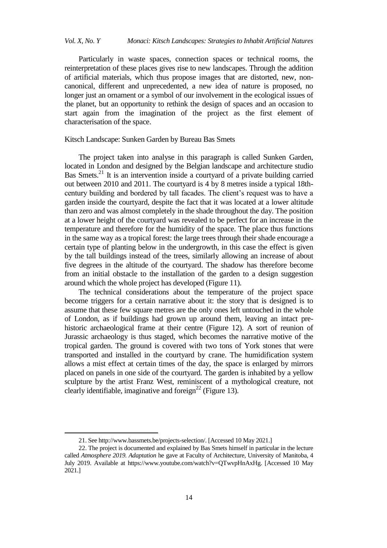Particularly in waste spaces, connection spaces or technical rooms, the reinterpretation of these places gives rise to new landscapes. Through the addition of artificial materials, which thus propose images that are distorted, new, noncanonical, different and unprecedented, a new idea of nature is proposed, no longer just an ornament or a symbol of our involvement in the ecological issues of the planet, but an opportunity to rethink the design of spaces and an occasion to start again from the imagination of the project as the first element of characterisation of the space.

Kitsch Landscape: Sunken Garden by Bureau Bas Smets

The project taken into analyse in this paragraph is called Sunken Garden, located in London and designed by the Belgian landscape and architecture studio Bas Smets.<sup>21</sup> It is an intervention inside a courtyard of a private building carried out between 2010 and 2011. The courtyard is 4 by 8 metres inside a typical 18thcentury building and bordered by tall facades. The client"s request was to have a garden inside the courtyard, despite the fact that it was located at a lower altitude than zero and was almost completely in the shade throughout the day. The position at a lower height of the courtyard was revealed to be perfect for an increase in the temperature and therefore for the humidity of the space. The place thus functions in the same way as a tropical forest: the large trees through their shade encourage a certain type of planting below in the undergrowth, in this case the effect is given by the tall buildings instead of the trees, similarly allowing an increase of about five degrees in the altitude of the courtyard. The shadow has therefore become from an initial obstacle to the installation of the garden to a design suggestion around which the whole project has developed (Figure 11).

The technical considerations about the temperature of the project space become triggers for a certain narrative about it: the story that is designed is to assume that these few square metres are the only ones left untouched in the whole of London, as if buildings had grown up around them, leaving an intact prehistoric archaeological frame at their centre (Figure 12). A sort of reunion of Jurassic archaeology is thus staged, which becomes the narrative motive of the tropical garden. The ground is covered with two tons of York stones that were transported and installed in the courtyard by crane. The humidification system allows a mist effect at certain times of the day, the space is enlarged by mirrors placed on panels in one side of the courtyard. The garden is inhabited by a yellow sculpture by the artist Franz West, reminiscent of a mythological creature, not clearly identifiable, imaginative and foreign<sup>22</sup> (Figure 13).

<sup>21.</sup> Se[e http://www.bassmets.be/projects-selection/.](http://www.bassmets.be/projects-selection/) [Accessed 10 May 2021.]

<sup>22.</sup> The project is documented and explained by Bas Smets himself in particular in the lecture called *Atmosphere 2019. Adaptation* he gave at Faculty of Architecture, University of Manitoba, 4 July 2019. Available at [https://www.youtube.com/watch?v=QTwvpHnAxHg.](https://www.youtube.com/watch?v=QTwvpHnAxHg) [Accessed 10 May 2021.]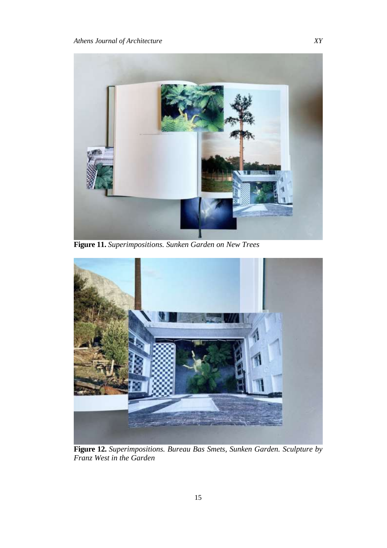

**Figure 11.** *Superimpositions. Sunken Garden on New Trees*



**Figure 12.** *Superimpositions. Bureau Bas Smets, Sunken Garden. Sculpture by Franz West in the Garden*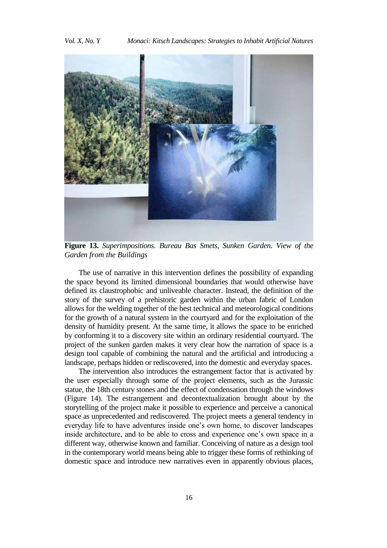

**Figure 13.** *Superimpositions. Bureau Bas Smets, Sunken Garden. View of the Garden from the Buildings*

The use of narrative in this intervention defines the possibility of expanding the space beyond its limited dimensional boundaries that would otherwise have defined its claustrophobic and unliveable character. Instead, the definition of the story of the survey of a prehistoric garden within the urban fabric of London allows for the welding together of the best technical and meteorological conditions for the growth of a natural system in the courtyard and for the exploitation of the density of humidity present. At the same time, it allows the space to be enriched by conforming it to a discovery site within an ordinary residential courtyard. The project of the sunken garden makes it very clear how the narration of space is a design tool capable of combining the natural and the artificial and introducing a landscape, perhaps hidden or rediscovered, into the domestic and everyday spaces.

The intervention also introduces the estrangement factor that is activated by the user especially through some of the project elements, such as the Jurassic statue, the 18th century stones and the effect of condensation through the windows (Figure 14). The estrangement and decontextualization brought about by the storytelling of the project make it possible to experience and perceive a canonical space as unprecedented and rediscovered. The project meets a general tendency in everyday life to have adventures inside one"s own home, to discover landscapes inside architecture, and to be able to cross and experience one's own space in a different way, otherwise known and familiar. Conceiving of nature as a design tool in the contemporary world means being able to trigger these forms of rethinking of domestic space and introduce new narratives even in apparently obvious places,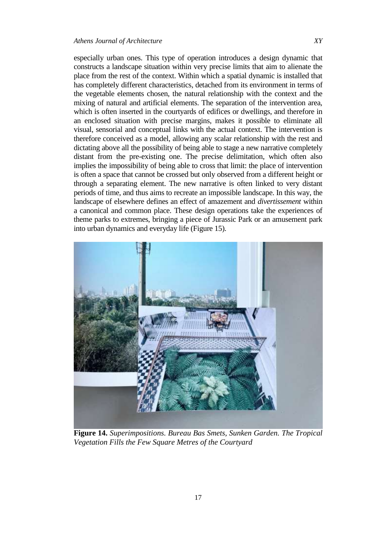especially urban ones. This type of operation introduces a design dynamic that constructs a landscape situation within very precise limits that aim to alienate the place from the rest of the context. Within which a spatial dynamic is installed that has completely different characteristics, detached from its environment in terms of the vegetable elements chosen, the natural relationship with the context and the mixing of natural and artificial elements. The separation of the intervention area, which is often inserted in the courtyards of edifices or dwellings, and therefore in an enclosed situation with precise margins, makes it possible to eliminate all visual, sensorial and conceptual links with the actual context. The intervention is therefore conceived as a model, allowing any scalar relationship with the rest and dictating above all the possibility of being able to stage a new narrative completely distant from the pre-existing one. The precise delimitation, which often also implies the impossibility of being able to cross that limit: the place of intervention is often a space that cannot be crossed but only observed from a different height or through a separating element. The new narrative is often linked to very distant periods of time, and thus aims to recreate an impossible landscape. In this way, the landscape of elsewhere defines an effect of amazement and *divertissement* within a canonical and common place. These design operations take the experiences of theme parks to extremes, bringing a piece of Jurassic Park or an amusement park into urban dynamics and everyday life (Figure 15).



**Figure 14.** *Superimpositions. Bureau Bas Smets, Sunken Garden. The Tropical Vegetation Fills the Few Square Metres of the Courtyard*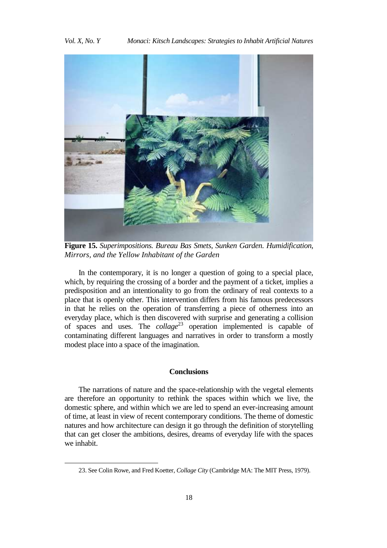

**Figure 15.** *Superimpositions. Bureau Bas Smets, Sunken Garden. Humidification, Mirrors, and the Yellow Inhabitant of the Garden*

In the contemporary, it is no longer a question of going to a special place, which, by requiring the crossing of a border and the payment of a ticket, implies a predisposition and an intentionality to go from the ordinary of real contexts to a place that is openly other. This intervention differs from his famous predecessors in that he relies on the operation of transferring a piece of otherness into an everyday place, which is then discovered with surprise and generating a collision of spaces and uses. The *collage*<sup>23</sup> operation implemented is capable of contaminating different languages and narratives in order to transform a mostly modest place into a space of the imagination.

#### **Conclusions**

The narrations of nature and the space-relationship with the vegetal elements are therefore an opportunity to rethink the spaces within which we live, the domestic sphere, and within which we are led to spend an ever-increasing amount of time, at least in view of recent contemporary conditions. The theme of domestic natures and how architecture can design it go through the definition of storytelling that can get closer the ambitions, desires, dreams of everyday life with the spaces we inhabit.

<sup>23.</sup> See Colin Rowe, and Fred Koetter, *Collage City* (Cambridge MA: The MIT Press, 1979).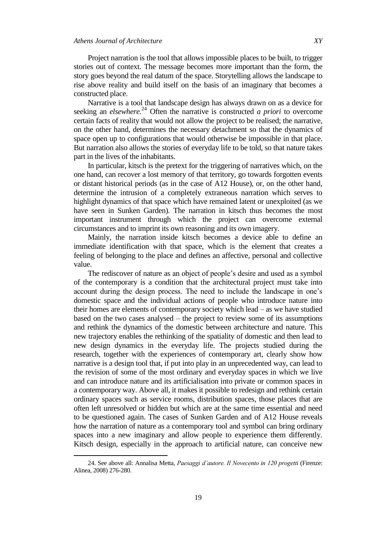Project narration is the tool that allows impossible places to be built, to trigger stories out of context. The message becomes more important than the form, the story goes beyond the real datum of the space. Storytelling allows the landscape to rise above reality and build itself on the basis of an imaginary that becomes a constructed place.

Narrative is a tool that landscape design has always drawn on as a device for seeking an *elsewhere.* <sup>24</sup> Often the narrative is constructed *a priori* to overcome certain facts of reality that would not allow the project to be realised; the narrative, on the other hand, determines the necessary detachment so that the dynamics of space open up to configurations that would otherwise be impossible in that place. But narration also allows the stories of everyday life to be told, so that nature takes part in the lives of the inhabitants.

In particular, kitsch is the pretext for the triggering of narratives which, on the one hand, can recover a lost memory of that territory, go towards forgotten events or distant historical periods (as in the case of A12 House), or, on the other hand, determine the intrusion of a completely extraneous narration which serves to highlight dynamics of that space which have remained latent or unexploited (as we have seen in Sunken Garden). The narration in kitsch thus becomes the most important instrument through which the project can overcome external circumstances and to imprint its own reasoning and its own imagery.

Mainly, the narration inside kitsch becomes a device able to define an immediate identification with that space, which is the element that creates a feeling of belonging to the place and defines an affective, personal and collective value.

The rediscover of nature as an object of people's desire and used as a symbol of the contemporary is a condition that the architectural project must take into account during the design process. The need to include the landscape in one"s domestic space and the individual actions of people who introduce nature into their homes are elements of contemporary society which lead – as we have studied based on the two cases analysed – the project to review some of its assumptions and rethink the dynamics of the domestic between architecture and nature. This new trajectory enables the rethinking of the spatiality of domestic and then lead to new design dynamics in the everyday life. The projects studied during the research, together with the experiences of contemporary art, clearly show how narrative is a design tool that, if put into play in an unprecedented way, can lead to the revision of some of the most ordinary and everyday spaces in which we live and can introduce nature and its artificialisation into private or common spaces in a contemporary way. Above all, it makes it possible to redesign and rethink certain ordinary spaces such as service rooms, distribution spaces, those places that are often left unresolved or hidden but which are at the same time essential and need to be questioned again. The cases of Sunken Garden and of A12 House reveals how the narration of nature as a contemporary tool and symbol can bring ordinary spaces into a new imaginary and allow people to experience them differently. Kitsch design, especially in the approach to artificial nature, can conceive new

<sup>24.</sup> See above all: Annalisa Metta, *aesaggi d'autore. Il Novecento in 120 progetti* (Firenze: Alinea, 2008) 276-280.